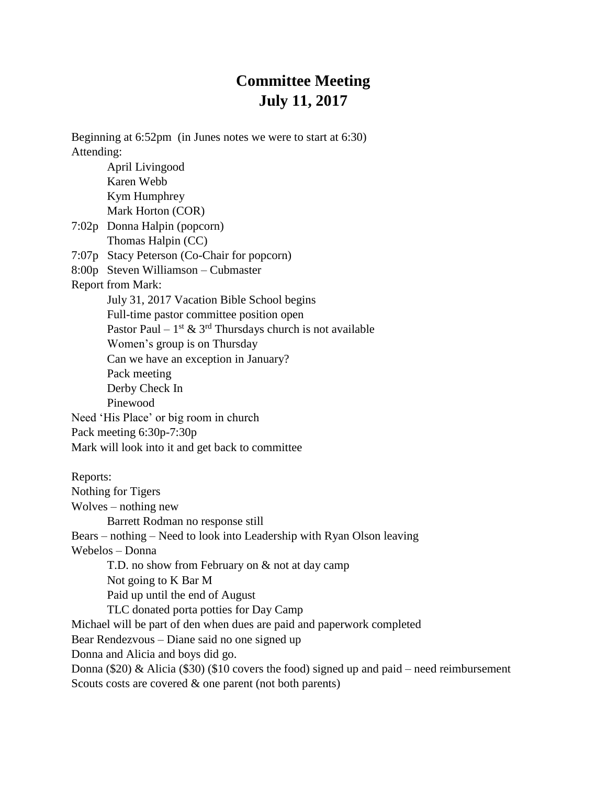## **Committee Meeting July 11, 2017**

Beginning at 6:52pm (in Junes notes we were to start at 6:30) Attending: April Livingood Karen Webb Kym Humphrey Mark Horton (COR) 7:02p Donna Halpin (popcorn) Thomas Halpin (CC) 7:07p Stacy Peterson (Co-Chair for popcorn) 8:00p Steven Williamson – Cubmaster Report from Mark: July 31, 2017 Vacation Bible School begins Full-time pastor committee position open Pastor Paul –  $1^{st}$  &  $3^{rd}$  Thursdays church is not available Women's group is on Thursday Can we have an exception in January? Pack meeting Derby Check In Pinewood Need 'His Place' or big room in church Pack meeting 6:30p-7:30p Mark will look into it and get back to committee Reports: Nothing for Tigers Wolves – nothing new Barrett Rodman no response still Bears – nothing – Need to look into Leadership with Ryan Olson leaving Webelos – Donna T.D. no show from February on & not at day camp Not going to K Bar M Paid up until the end of August TLC donated porta potties for Day Camp Michael will be part of den when dues are paid and paperwork completed Bear Rendezvous – Diane said no one signed up Donna and Alicia and boys did go. Donna (\$20)  $\&$  Alicia (\$30) (\$10 covers the food) signed up and paid – need reimbursement Scouts costs are covered & one parent (not both parents)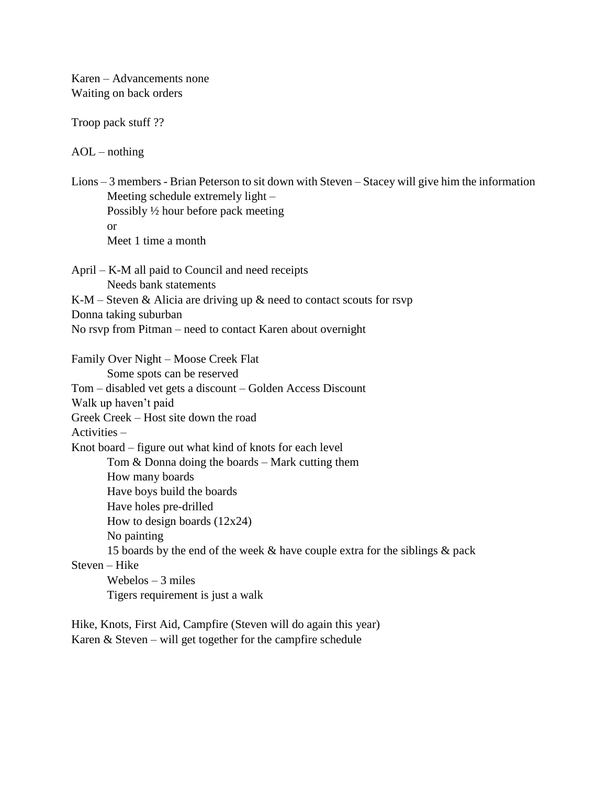Karen – Advancements none Waiting on back orders

Troop pack stuff ??

 $AOL - nothing$ 

Lions – 3 members - Brian Peterson to sit down with Steven – Stacey will give him the information Meeting schedule extremely light – Possibly ½ hour before pack meeting or Meet 1 time a month April – K-M all paid to Council and need receipts Needs bank statements K-M – Steven  $\&$  Alicia are driving up  $\&$  need to contact scouts for rsvp Donna taking suburban No rsvp from Pitman – need to contact Karen about overnight Family Over Night – Moose Creek Flat Some spots can be reserved Tom – disabled vet gets a discount – Golden Access Discount Walk up haven't paid Greek Creek – Host site down the road Activities – Knot board – figure out what kind of knots for each level Tom & Donna doing the boards – Mark cutting them How many boards Have boys build the boards Have holes pre-drilled How to design boards  $(12x24)$ No painting 15 boards by the end of the week & have couple extra for the siblings & pack Steven – Hike

Webelos  $-3$  miles Tigers requirement is just a walk

Hike, Knots, First Aid, Campfire (Steven will do again this year) Karen & Steven – will get together for the campfire schedule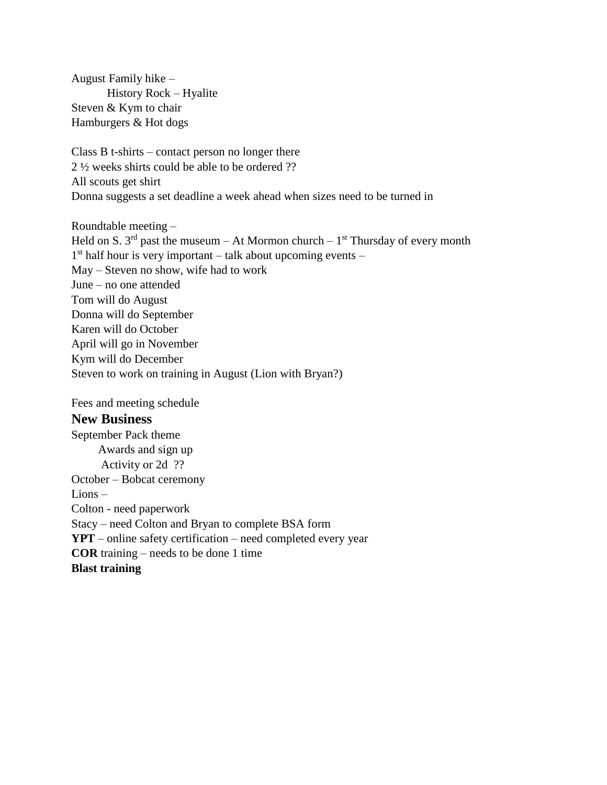August Family hike – History Rock – Hyalite Steven & Kym to chair Hamburgers & Hot dogs

Class B t-shirts – contact person no longer there 2 ½ weeks shirts could be able to be ordered ?? All scouts get shirt Donna suggests a set deadline a week ahead when sizes need to be turned in

Roundtable meeting – Held on S. 3<sup>rd</sup> past the museum – At Mormon church –  $1<sup>st</sup>$  Thursday of every month 1<sup>st</sup> half hour is very important – talk about upcoming events – May – Steven no show, wife had to work June – no one attended Tom will do August Donna will do September Karen will do October April will go in November Kym will do December Steven to work on training in August (Lion with Bryan?)

Fees and meeting schedule

## **New Business**

September Pack theme Awards and sign up Activity or 2d ?? October – Bobcat ceremony Lions – Colton - need paperwork Stacy – need Colton and Bryan to complete BSA form **YPT** – online safety certification – need completed every year **COR** training – needs to be done 1 time **Blast training**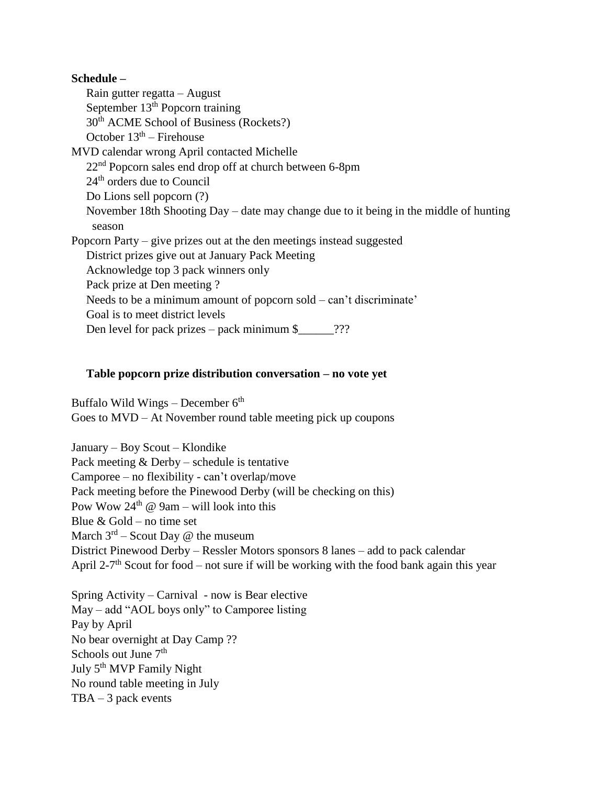## **Schedule –**

Rain gutter regatta – August September 13<sup>th</sup> Popcorn training 30th ACME School of Business (Rockets?) October  $13<sup>th</sup>$  – Firehouse MVD calendar wrong April contacted Michelle  $22<sup>nd</sup>$  Popcorn sales end drop off at church between 6-8pm 24<sup>th</sup> orders due to Council Do Lions sell popcorn (?) November 18th Shooting Day – date may change due to it being in the middle of hunting season Popcorn Party – give prizes out at the den meetings instead suggested District prizes give out at January Pack Meeting Acknowledge top 3 pack winners only Pack prize at Den meeting ? Needs to be a minimum amount of popcorn sold – can't discriminate' Goal is to meet district levels Den level for pack prizes – pack minimum  $\frac{1}{2}$  ???

## **Table popcorn prize distribution conversation – no vote yet**

Buffalo Wild Wings – December  $6<sup>th</sup>$ Goes to MVD – At November round table meeting pick up coupons

January – Boy Scout – Klondike Pack meeting & Derby – schedule is tentative Camporee – no flexibility - can't overlap/move Pack meeting before the Pinewood Derby (will be checking on this) Pow Wow  $24<sup>th</sup>$  @ 9am – will look into this Blue  $&$  Gold – no time set March  $3^{rd}$  – Scout Day @ the museum District Pinewood Derby – Ressler Motors sponsors 8 lanes – add to pack calendar April 2-7<sup>th</sup> Scout for food – not sure if will be working with the food bank again this year

Spring Activity – Carnival - now is Bear elective May – add "AOL boys only" to Camporee listing Pay by April No bear overnight at Day Camp ?? Schools out June  $7<sup>th</sup>$ July 5<sup>th</sup> MVP Family Night No round table meeting in July  $TBA - 3$  pack events